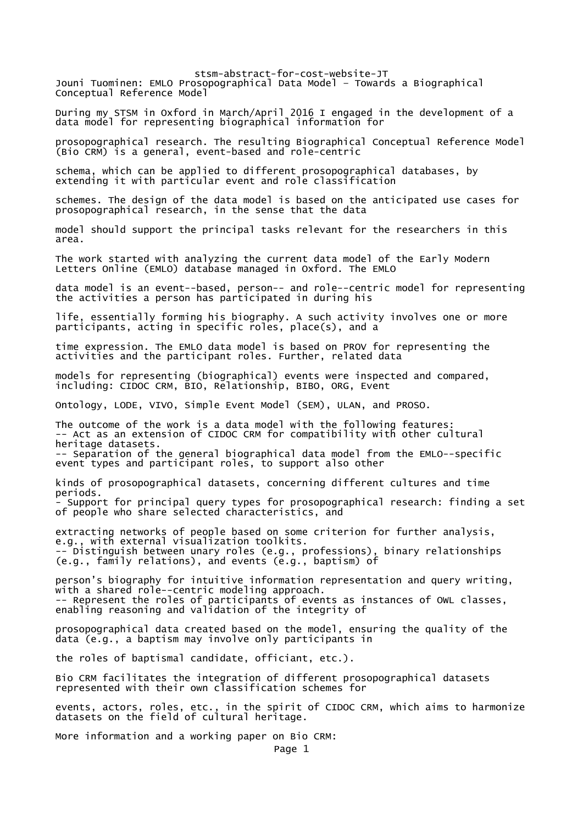stsm-abstract-for-cost-website-JT Jouni Tuominen: EMLO Prosopographical Data Model – Towards a Biographical Conceptual Reference Model During my STSM in Oxford in March/April 2016 I engaged in the development of a data model for representing biographical information for prosopographical research. The resulting Biographical Conceptual Reference Model (Bio CRM) is a general, event-based and role-centric schema, which can be applied to different prosopographical databases, by extending it with particular event and role classification schemes. The design of the data model is based on the anticipated use cases for prosopographical research, in the sense that the data model should support the principal tasks relevant for the researchers in this area. The work started with analyzing the current data model of the Early Modern Letters Online (EMLO) database managed in Oxford. The EMLO data model is an event--based, person-- and role--centric model for representing the activities a person has participated in during his life, essentially forming his biography. A such activity involves one or more participants, acting in specific roles, place(s), and a time expression. The EMLO data model is based on PROV for representing the activities and the participant roles. Further, related data models for representing (biographical) events were inspected and compared, including: CIDOC CRM, BIO, Relationship, BIBO, ORG, Event Ontology, LODE, VIVO, Simple Event Model (SEM), ULAN, and PROSO. The outcome of the work is a data model with the following features: -- Act as an extension of CIDOC CRM for compatibility with other cultural heritage datasets. -- Separation of the general biographical data model from the EMLO--specific event types and participant roles, to support also other kinds of prosopographical datasets, concerning different cultures and time periods. - Support for principal query types for prosopographical research: finding a set of people who share selected characteristics, and extracting networks of people based on some criterion for further analysis, e.g., with external visualization toolkits. -- Distinguish between unary roles (e.g., professions), binary relationships (e.g., family relations), and events (e.g., baptism) of person's biography for intuitive information representation and query writing, with a shared role--centric modeling approach. -- Represent the roles of participants of events as instances of OWL classes, enabling reasoning and validation of the integrity of prosopographical data created based on the model, ensuring the quality of the data (e.g., a baptism may involve only participants in the roles of baptismal candidate, officiant, etc.). Bio CRM facilitates the integration of different prosopographical datasets represented with their own classification schemes for events, actors, roles, etc., in the spirit of CIDOC CRM, which aims to harmonize datasets on the field of cultural heritage. More information and a working paper on Bio CRM: Page 1